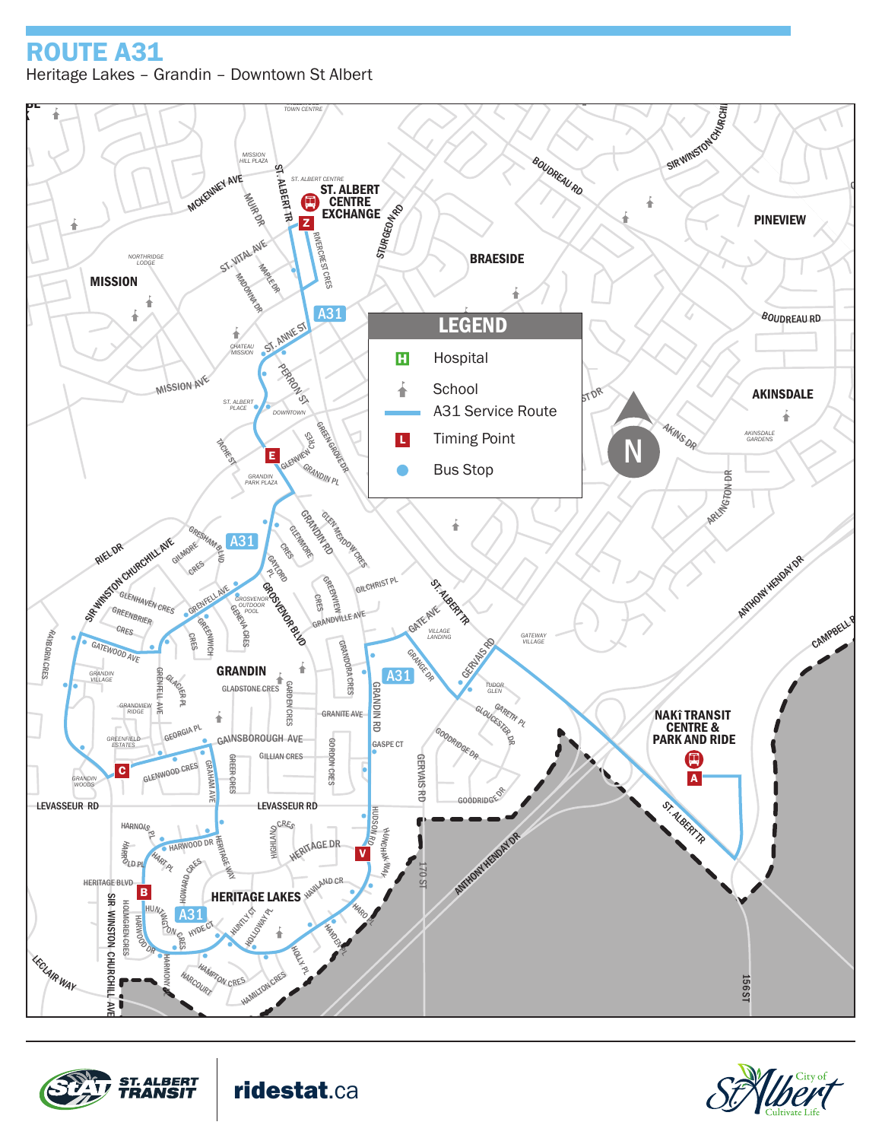## DR ROUTE A31 Heritage Lakes – Grandin – Downtown St Albert



BOUDREAU RD